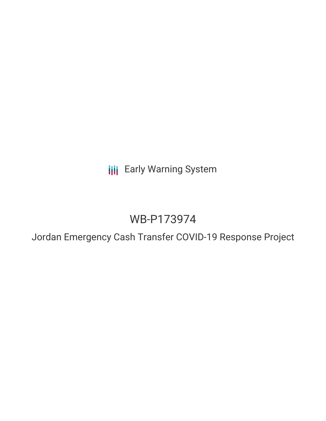**III** Early Warning System

# WB-P173974

Jordan Emergency Cash Transfer COVID-19 Response Project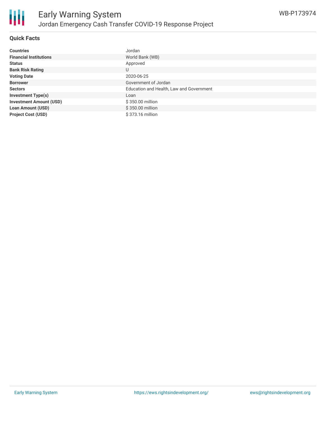

### **Quick Facts**

| <b>Countries</b>               | Jordan                                   |
|--------------------------------|------------------------------------------|
| <b>Financial Institutions</b>  | World Bank (WB)                          |
| <b>Status</b>                  | Approved                                 |
| <b>Bank Risk Rating</b>        | U                                        |
| <b>Voting Date</b>             | 2020-06-25                               |
| <b>Borrower</b>                | Government of Jordan                     |
| <b>Sectors</b>                 | Education and Health, Law and Government |
| <b>Investment Type(s)</b>      | Loan                                     |
| <b>Investment Amount (USD)</b> | \$350.00 million                         |
| <b>Loan Amount (USD)</b>       | \$350.00 million                         |
| <b>Project Cost (USD)</b>      | \$373.16 million                         |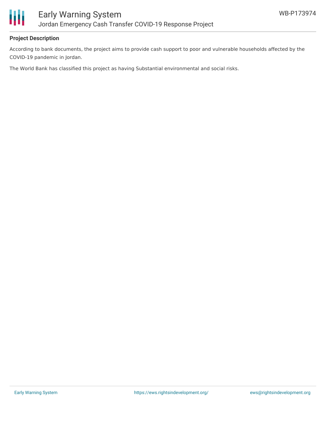

### **Project Description**

According to bank documents, the project aims to provide cash support to poor and vulnerable households affected by the COVID-19 pandemic in Jordan.

The World Bank has classified this project as having Substantial environmental and social risks.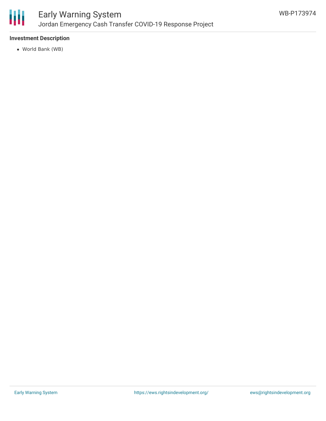

# Early Warning System Jordan Emergency Cash Transfer COVID-19 Response Project

## **Investment Description**

World Bank (WB)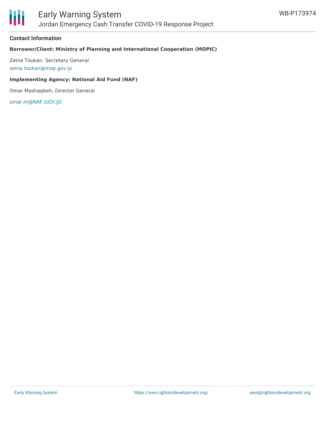

#### **Contact Information**

### **Borrower/Client: Ministry of Planning and International Cooperation (MOPIC)**

Zeina Toukan, Secretary General [zeina.toukan@mop.gov.jo](mailto:zeina.toukan@mop.gov.jo)

#### **Implementing Agency: National Aid Fund (NAF)**

Omar Mashaqbeh, Director General

[omar.m@NAF.GOV.JO](mailto:omar.m@NAF.GOV.JO)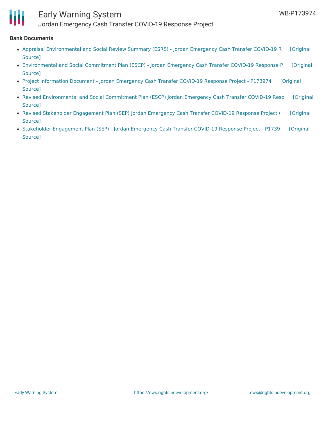

# Early Warning System

Jordan Emergency Cash Transfer COVID-19 Response Project

#### **Bank Documents**

- Appraisal [Environmental](https://ewsdata.rightsindevelopment.org/files/documents/74/WB-P173974.pdf) and Social Review Summary (ESRS) Jordan Emergency Cash Transfer COVID-19 R [Original Source]
- [Environmental](https://ewsdata.rightsindevelopment.org/files/documents/74/WB-P173974_FPLWJ5f.pdf) and Social Commitment Plan (ESCP) Jordan Emergency Cash Transfer COVID-19 Response P [Original Source]
- Project [Information](https://ewsdata.rightsindevelopment.org/files/documents/74/WB-P173974_apWxBLV.pdf) Document Jordan Emergency Cash Transfer COVID-19 Response Project P173974 [Original Source]
- Revised [Environmental](https://ewsdata.rightsindevelopment.org/files/documents/74/WB-P173974_co352qG.pdf) and Social Commitment Plan (ESCP) Jordan Emergency Cash Transfer COVID-19 Resp [Original Source]
- Revised Stakeholder [Engagement](https://ewsdata.rightsindevelopment.org/files/documents/74/WB-P173974_jMCEf0a.pdf) Plan (SEP) Jordan Emergency Cash Transfer COVID-19 Response Project ( [Original Source]
- Stakeholder [Engagement](https://ewsdata.rightsindevelopment.org/files/documents/74/WB-P173974_CPs8r2j.pdf) Plan (SEP) Jordan Emergency Cash Transfer COVID-19 Response Project P1739 [Original Source]